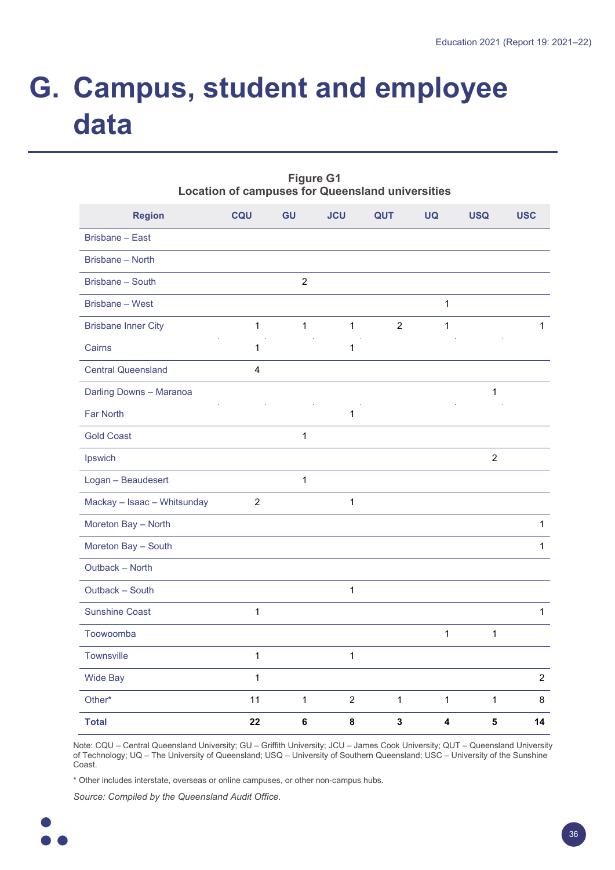# **G. Campus, student and employee data**

|                             |                  | Location of campuses for Queensland universities |                |                |              |                |                |  |  |  |
|-----------------------------|------------------|--------------------------------------------------|----------------|----------------|--------------|----------------|----------------|--|--|--|
| <b>Region</b>               | CQU              | GU                                               | <b>JCU</b>     | QUT            | <b>UQ</b>    | <b>USQ</b>     | <b>USC</b>     |  |  |  |
| <b>Brisbane - East</b>      |                  |                                                  |                |                |              |                |                |  |  |  |
| Brisbane - North            |                  |                                                  |                |                |              |                |                |  |  |  |
| Brisbane - South            |                  | $\overline{c}$                                   |                |                |              |                |                |  |  |  |
| <b>Brisbane - West</b>      |                  |                                                  |                |                | $\mathbf{1}$ |                |                |  |  |  |
| <b>Brisbane Inner City</b>  | $\mathbf{1}$     | $\mathbf{1}$                                     | $\mathbf{1}$   | $\overline{2}$ | $\mathbf{1}$ |                | $\mathbf{1}$   |  |  |  |
| Cairns                      | $\mathbf 1$      |                                                  | $\mathbf{1}$   |                |              |                |                |  |  |  |
| <b>Central Queensland</b>   | 4                |                                                  |                |                |              |                |                |  |  |  |
| Darling Downs - Maranoa     |                  |                                                  |                |                |              | $\mathbf{1}$   |                |  |  |  |
| Far North                   |                  |                                                  | $\mathbf{1}$   |                |              |                |                |  |  |  |
| <b>Gold Coast</b>           |                  | $\mathbf{1}$                                     |                |                |              |                |                |  |  |  |
| Ipswich                     |                  |                                                  |                |                |              | $\overline{c}$ |                |  |  |  |
| Logan - Beaudesert          |                  | $\mathbf{1}$                                     |                |                |              |                |                |  |  |  |
| Mackay - Isaac - Whitsunday | $\boldsymbol{2}$ |                                                  | $\mathbf{1}$   |                |              |                |                |  |  |  |
| Moreton Bay - North         |                  |                                                  |                |                |              |                | $\mathbf{1}$   |  |  |  |
| Moreton Bay - South         |                  |                                                  |                |                |              |                | $\mathbf{1}$   |  |  |  |
| Outback - North             |                  |                                                  |                |                |              |                |                |  |  |  |
| Outback - South             |                  |                                                  | $\mathbf{1}$   |                |              |                |                |  |  |  |
| <b>Sunshine Coast</b>       | $\mathbf 1$      |                                                  |                |                |              |                | $\mathbf{1}$   |  |  |  |
| Toowoomba                   |                  |                                                  |                |                | $\mathbf{1}$ | $\mathbf{1}$   |                |  |  |  |
| Townsville                  | $\mathbf{1}$     |                                                  | $\mathbf{1}$   |                |              |                |                |  |  |  |
| <b>Wide Bay</b>             | $\mathbf{1}$     |                                                  |                |                |              |                | $\overline{2}$ |  |  |  |
| Other*                      | 11               | $\mathbf{1}$                                     | $\overline{2}$ | $\mathbf{1}$   | $\mathbf{1}$ | $\mathbf{1}$   | 8              |  |  |  |
| <b>Total</b>                | 22               | 6                                                | 8              | $\mathbf{3}$   | 4            | 5              | 14             |  |  |  |

**Figure G1 Location of campuses for Queensland universities**

Note: CQU – Central Queensland University; GU – Griffith University; JCU – James Cook University; QUT – Queensland University of Technology; UQ – The University of Queensland; USQ – University of Southern Queensland; USC – University of the Sunshine Coast.

\* Other includes interstate, overseas or online campuses, or other non-campus hubs.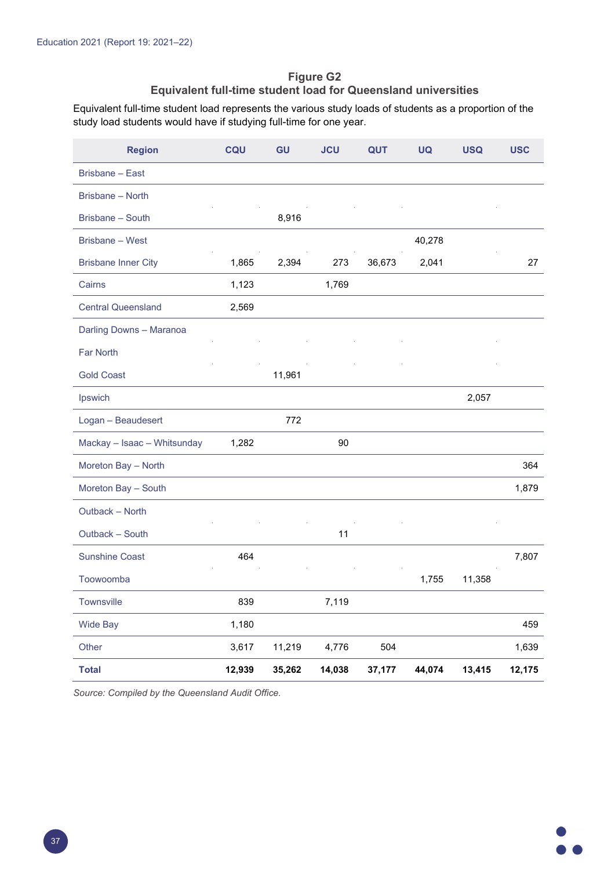### **Figure G2 Equivalent full-time student load for Queensland universities**

Equivalent full-time student load represents the various study loads of students as a proportion of the study load students would have if studying full-time for one year.

| <b>Region</b>               | CQU    | GU     | <b>JCU</b> | <b>QUT</b> | <b>UQ</b> | <b>USQ</b> | <b>USC</b> |
|-----------------------------|--------|--------|------------|------------|-----------|------------|------------|
| <b>Brisbane - East</b>      |        |        |            |            |           |            |            |
| <b>Brisbane - North</b>     |        |        |            |            |           |            |            |
| Brisbane - South            |        | 8,916  |            |            |           |            |            |
| <b>Brisbane - West</b>      |        |        |            |            | 40,278    |            |            |
| <b>Brisbane Inner City</b>  | 1,865  | 2,394  | 273        | 36,673     | 2,041     |            | 27         |
| Cairns                      | 1,123  |        | 1,769      |            |           |            |            |
| <b>Central Queensland</b>   | 2,569  |        |            |            |           |            |            |
| Darling Downs - Maranoa     |        |        |            |            |           |            |            |
| <b>Far North</b>            |        |        |            |            |           |            |            |
| <b>Gold Coast</b>           |        | 11,961 |            |            |           |            |            |
| Ipswich                     |        |        |            |            |           | 2,057      |            |
| Logan - Beaudesert          |        | 772    |            |            |           |            |            |
| Mackay - Isaac - Whitsunday | 1,282  |        | 90         |            |           |            |            |
| Moreton Bay - North         |        |        |            |            |           |            | 364        |
| Moreton Bay - South         |        |        |            |            |           |            | 1,879      |
| Outback - North             |        |        |            |            |           |            |            |
| Outback - South             |        |        | 11         |            |           |            |            |
| <b>Sunshine Coast</b>       | 464    |        |            |            |           |            | 7,807      |
| Toowoomba                   |        |        |            |            | 1,755     | 11,358     |            |
| Townsville                  | 839    |        | 7,119      |            |           |            |            |
| <b>Wide Bay</b>             | 1,180  |        |            |            |           |            | 459        |
| Other                       | 3,617  | 11,219 | 4,776      | 504        |           |            | 1,639      |
| <b>Total</b>                | 12,939 | 35,262 | 14,038     | 37,177     | 44,074    | 13,415     | 12,175     |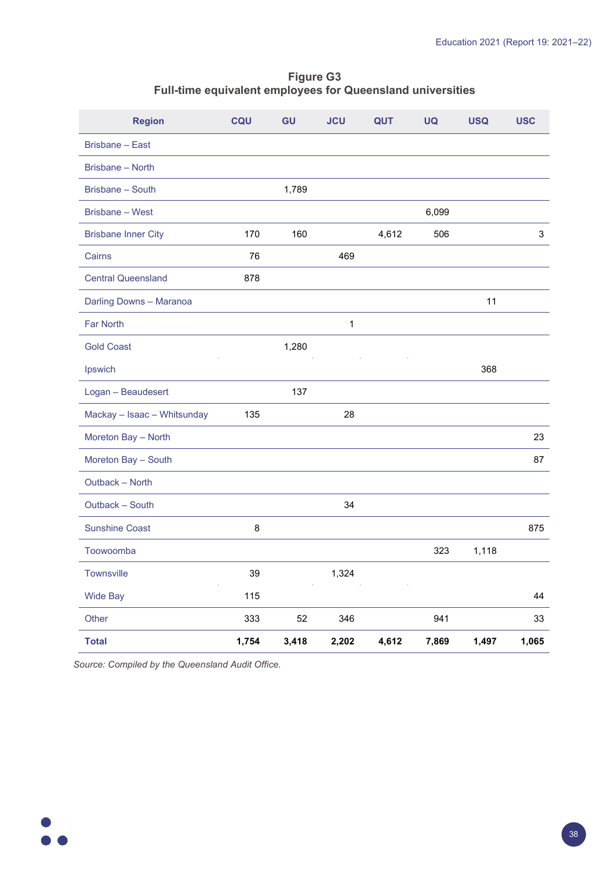#### **Figure G3 Full-time equivalent employees for Queensland universities**

| <b>Region</b>               | CQU   | <b>GU</b> | <b>JCU</b> | <b>QUT</b> | <b>UQ</b> | <b>USQ</b> | <b>USC</b> |
|-----------------------------|-------|-----------|------------|------------|-----------|------------|------------|
| <b>Brisbane - East</b>      |       |           |            |            |           |            |            |
| Brisbane - North            |       |           |            |            |           |            |            |
| Brisbane - South            |       | 1,789     |            |            |           |            |            |
| Brisbane - West             |       |           |            |            | 6,099     |            |            |
| <b>Brisbane Inner City</b>  | 170   | 160       |            | 4,612      | 506       |            | 3          |
| Cairns                      | 76    |           | 469        |            |           |            |            |
| <b>Central Queensland</b>   | 878   |           |            |            |           |            |            |
| Darling Downs - Maranoa     |       |           |            |            |           | 11         |            |
| <b>Far North</b>            |       |           | 1          |            |           |            |            |
| <b>Gold Coast</b>           |       | 1,280     |            |            |           |            |            |
| Ipswich                     |       |           |            |            |           | 368        |            |
| Logan - Beaudesert          |       | 137       |            |            |           |            |            |
| Mackay - Isaac - Whitsunday | 135   |           | 28         |            |           |            |            |
| Moreton Bay - North         |       |           |            |            |           |            | 23         |
| Moreton Bay - South         |       |           |            |            |           |            | 87         |
| Outback - North             |       |           |            |            |           |            |            |
| Outback - South             |       |           | 34         |            |           |            |            |
| <b>Sunshine Coast</b>       | 8     |           |            |            |           |            | 875        |
| Toowoomba                   |       |           |            |            | 323       | 1,118      |            |
| Townsville                  | 39    |           | 1,324      |            |           |            |            |
| <b>Wide Bay</b>             | 115   |           |            |            |           |            | 44         |
| Other                       | 333   | 52        | 346        |            | 941       |            | $33\,$     |
| <b>Total</b>                | 1,754 | 3,418     | 2,202      | 4,612      | 7,869     | 1,497      | 1,065      |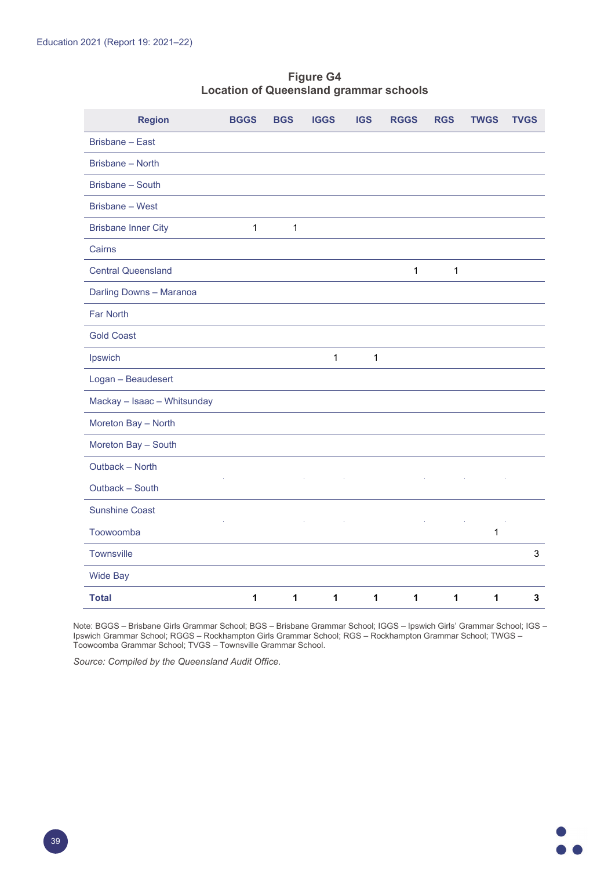## **Figure G4 Location of Queensland grammar schools**

| <b>Region</b>               | <b>BGGS</b>  | <b>BGS</b>   | <b>IGGS</b> | <b>IGS</b>  | <b>RGGS</b>  | <b>RGS</b> | <b>TWGS</b> | <b>TVGS</b>    |
|-----------------------------|--------------|--------------|-------------|-------------|--------------|------------|-------------|----------------|
| Brisbane - East             |              |              |             |             |              |            |             |                |
| Brisbane - North            |              |              |             |             |              |            |             |                |
| Brisbane - South            |              |              |             |             |              |            |             |                |
| Brisbane - West             |              |              |             |             |              |            |             |                |
| <b>Brisbane Inner City</b>  | $\mathbf{1}$ | $\mathbf{1}$ |             |             |              |            |             |                |
| Cairns                      |              |              |             |             |              |            |             |                |
| <b>Central Queensland</b>   |              |              |             |             | $\mathbf{1}$ | 1          |             |                |
| Darling Downs - Maranoa     |              |              |             |             |              |            |             |                |
| <b>Far North</b>            |              |              |             |             |              |            |             |                |
| <b>Gold Coast</b>           |              |              |             |             |              |            |             |                |
| Ipswich                     |              |              | 1           | $\mathbf 1$ |              |            |             |                |
| Logan - Beaudesert          |              |              |             |             |              |            |             |                |
| Mackay - Isaac - Whitsunday |              |              |             |             |              |            |             |                |
| Moreton Bay - North         |              |              |             |             |              |            |             |                |
| Moreton Bay - South         |              |              |             |             |              |            |             |                |
| Outback - North             |              |              |             |             |              |            |             |                |
| Outback - South             |              |              |             |             |              |            |             |                |
| <b>Sunshine Coast</b>       |              |              |             |             |              |            |             |                |
| Toowoomba                   |              |              |             |             |              |            | $\mathbf 1$ |                |
| <b>Townsville</b>           |              |              |             |             |              |            |             | $\mathfrak{S}$ |
| <b>Wide Bay</b>             |              |              |             |             |              |            |             |                |
| <b>Total</b>                | 1            | 1            | 1           | 1           | 1            | 1          | 1           | 3              |

Note: BGGS – Brisbane Girls Grammar School; BGS – Brisbane Grammar School; IGGS – Ipswich Girls' Grammar School; IGS – Ipswich Grammar School; RGGS – Rockhampton Girls Grammar School; RGS – Rockhampton Grammar School; TWGS – Toowoomba Grammar School; TVGS – Townsville Grammar School.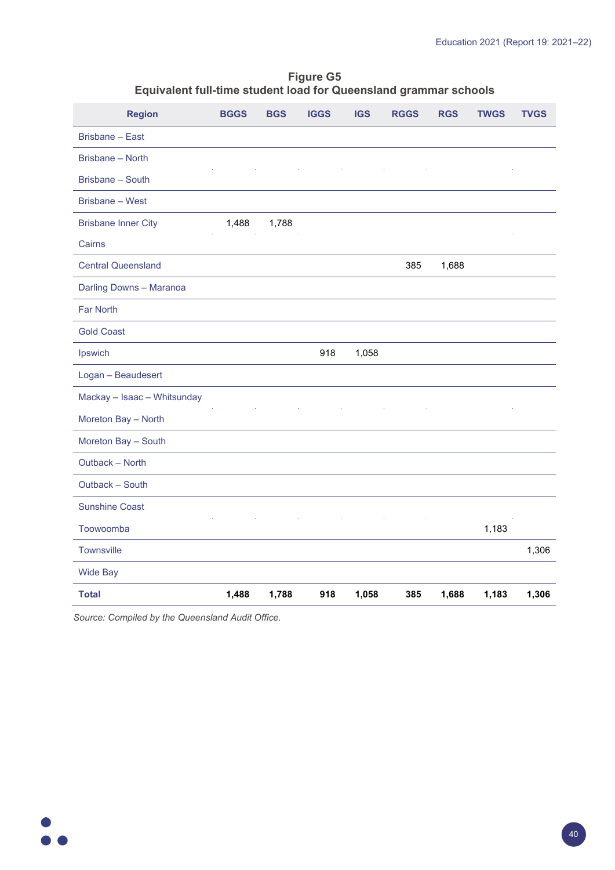#### **Figure G5 Equivalent full-time student load for Queensland grammar schools**

| <b>Region</b>               | <b>BGGS</b> | <b>BGS</b> | <b>IGGS</b> | <b>IGS</b> | <b>RGGS</b> | <b>RGS</b> | <b>TWGS</b> | <b>TVGS</b> |
|-----------------------------|-------------|------------|-------------|------------|-------------|------------|-------------|-------------|
| <b>Brisbane - East</b>      |             |            |             |            |             |            |             |             |
| Brisbane - North            |             |            |             |            |             |            |             |             |
| Brisbane - South            |             |            |             |            |             |            |             |             |
| Brisbane - West             |             |            |             |            |             |            |             |             |
| <b>Brisbane Inner City</b>  | 1,488       | 1,788      |             |            |             |            |             |             |
| Cairns                      |             |            |             |            |             |            |             |             |
| <b>Central Queensland</b>   |             |            |             |            | 385         | 1,688      |             |             |
| Darling Downs - Maranoa     |             |            |             |            |             |            |             |             |
| Far North                   |             |            |             |            |             |            |             |             |
| <b>Gold Coast</b>           |             |            |             |            |             |            |             |             |
| Ipswich                     |             |            | 918         | 1,058      |             |            |             |             |
| Logan - Beaudesert          |             |            |             |            |             |            |             |             |
| Mackay - Isaac - Whitsunday |             |            |             |            |             |            |             |             |
| Moreton Bay - North         |             |            |             |            |             |            |             |             |
| Moreton Bay - South         |             |            |             |            |             |            |             |             |
| Outback - North             |             |            |             |            |             |            |             |             |
| Outback - South             |             |            |             |            |             |            |             |             |
| <b>Sunshine Coast</b>       |             |            |             |            |             |            |             |             |
| Toowoomba                   |             |            |             |            |             |            | 1,183       |             |
| <b>Townsville</b>           |             |            |             |            |             |            |             | 1,306       |
| <b>Wide Bay</b>             |             |            |             |            |             |            |             |             |
| <b>Total</b>                | 1,488       | 1,788      | 918         | 1,058      | 385         | 1,688      | 1,183       | 1,306       |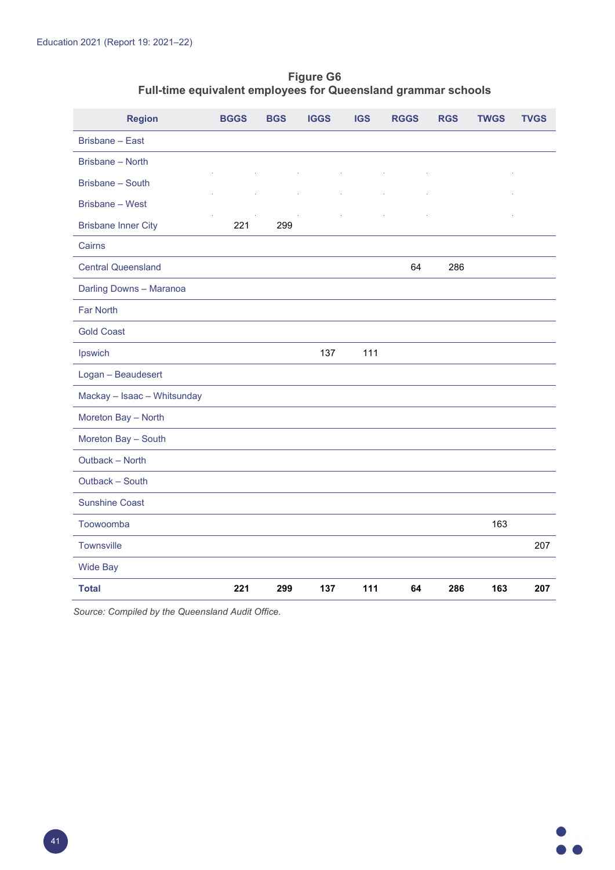#### **Figure G6 Full-time equivalent employees for Queensland grammar schools**

| <b>Region</b>               | <b>BGGS</b> | <b>BGS</b> | <b>IGGS</b> | <b>IGS</b> | <b>RGGS</b> | <b>RGS</b> | <b>TWGS</b> | <b>TVGS</b> |
|-----------------------------|-------------|------------|-------------|------------|-------------|------------|-------------|-------------|
| <b>Brisbane - East</b>      |             |            |             |            |             |            |             |             |
| Brisbane - North            |             |            |             |            |             |            |             |             |
| <b>Brisbane - South</b>     |             |            |             |            |             |            |             |             |
| <b>Brisbane - West</b>      |             |            |             |            |             |            |             |             |
| <b>Brisbane Inner City</b>  | 221         | 299        |             |            |             |            |             |             |
| Cairns                      |             |            |             |            |             |            |             |             |
| <b>Central Queensland</b>   |             |            |             |            | 64          | 286        |             |             |
| Darling Downs - Maranoa     |             |            |             |            |             |            |             |             |
| Far North                   |             |            |             |            |             |            |             |             |
| <b>Gold Coast</b>           |             |            |             |            |             |            |             |             |
| Ipswich                     |             |            | 137         | 111        |             |            |             |             |
| Logan - Beaudesert          |             |            |             |            |             |            |             |             |
| Mackay - Isaac - Whitsunday |             |            |             |            |             |            |             |             |
| Moreton Bay - North         |             |            |             |            |             |            |             |             |
| Moreton Bay - South         |             |            |             |            |             |            |             |             |
| Outback - North             |             |            |             |            |             |            |             |             |
| Outback - South             |             |            |             |            |             |            |             |             |
| <b>Sunshine Coast</b>       |             |            |             |            |             |            |             |             |
| Toowoomba                   |             |            |             |            |             |            | 163         |             |
| Townsville                  |             |            |             |            |             |            |             | 207         |
| <b>Wide Bay</b>             |             |            |             |            |             |            |             |             |
| <b>Total</b>                | 221         | 299        | 137         | 111        | 64          | 286        | 163         | 207         |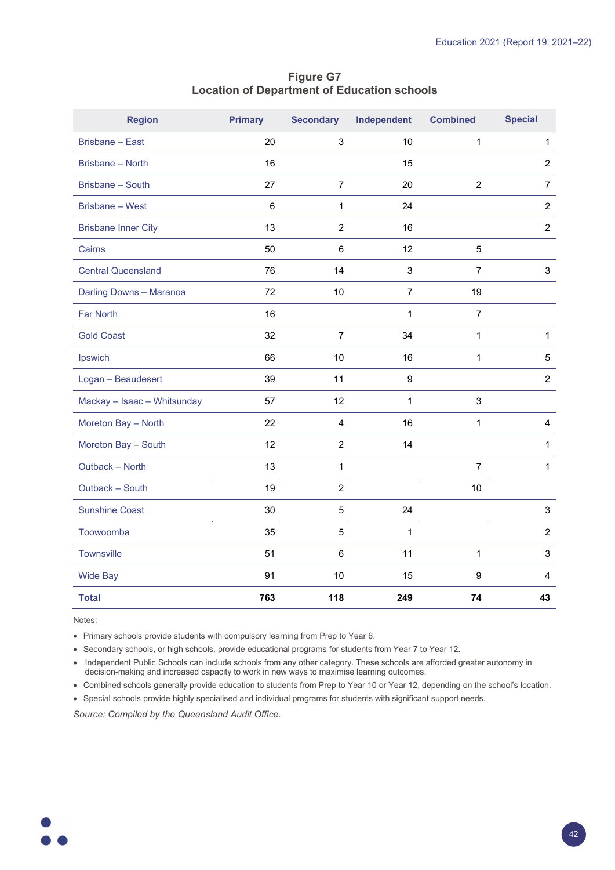| <b>Region</b>               | <b>Primary</b> | <b>Secondary</b> | Independent      | <b>Combined</b> | <b>Special</b>          |
|-----------------------------|----------------|------------------|------------------|-----------------|-------------------------|
| <b>Brisbane - East</b>      | 20             | 3                | 10               | $\mathbf 1$     | $\mathbf{1}$            |
| Brisbane - North            | 16             |                  | 15               |                 | $\overline{2}$          |
| Brisbane - South            | 27             | $\overline{7}$   | 20               | $\overline{2}$  | $\overline{7}$          |
| Brisbane - West             | $\,6\,$        | $\mathbf{1}$     | 24               |                 | $\overline{c}$          |
| <b>Brisbane Inner City</b>  | 13             | $\overline{c}$   | 16               |                 | $\overline{2}$          |
| Cairns                      | 50             | $6\phantom{1}6$  | 12               | 5               |                         |
| <b>Central Queensland</b>   | 76             | 14               | $\mathbf{3}$     | $\overline{7}$  | 3                       |
| Darling Downs - Maranoa     | 72             | 10               | $\overline{7}$   | 19              |                         |
| <b>Far North</b>            | 16             |                  | 1                | $\overline{7}$  |                         |
| <b>Gold Coast</b>           | 32             | $\overline{7}$   | 34               | $\mathbf 1$     | $\mathbf{1}$            |
| Ipswich                     | 66             | 10               | 16               | $\mathbf{1}$    | 5                       |
| Logan - Beaudesert          | 39             | 11               | $\boldsymbol{9}$ |                 | $\overline{2}$          |
| Mackay - Isaac - Whitsunday | 57             | 12               | 1                | $\mathsf 3$     |                         |
| Moreton Bay - North         | 22             | 4                | 16               | $\mathbf{1}$    | 4                       |
| Moreton Bay - South         | 12             | $\overline{2}$   | 14               |                 | $\mathbf{1}$            |
| Outback - North             | 13             | $\mathbf{1}$     |                  | $\overline{7}$  | $\mathbf{1}$            |
| Outback - South             | 19             | $\overline{2}$   |                  | 10              |                         |
| <b>Sunshine Coast</b>       | 30             | 5                | 24               |                 | 3                       |
| Toowoomba                   | 35             | 5                | $\mathbf 1$      |                 | $\overline{2}$          |
| Townsville                  | 51             | $\,6\,$          | 11               | 1               | 3                       |
| <b>Wide Bay</b>             | 91             | 10               | 15               | 9               | $\overline{\mathbf{4}}$ |
| <b>Total</b>                | 763            | 118              | 249              | 74              | 43                      |

#### **Figure G7 Location of Department of Education schools**

Notes:

• Primary schools provide students with compulsory learning from Prep to Year 6.

• Secondary schools, or high schools, provide educational programs for students from Year 7 to Year 12.

• Independent Public Schools can include schools from any other category. These schools are afforded greater autonomy in decision-making and increased capacity to work in new ways to maximise learning outcomes.

• Combined schools generally provide education to students from Prep to Year 10 or Year 12, depending on the school's location.

• Special schools provide highly specialised and individual programs for students with significant support needs.

*Source: Compiled by the Queensland Audit Office.*

 $\bullet$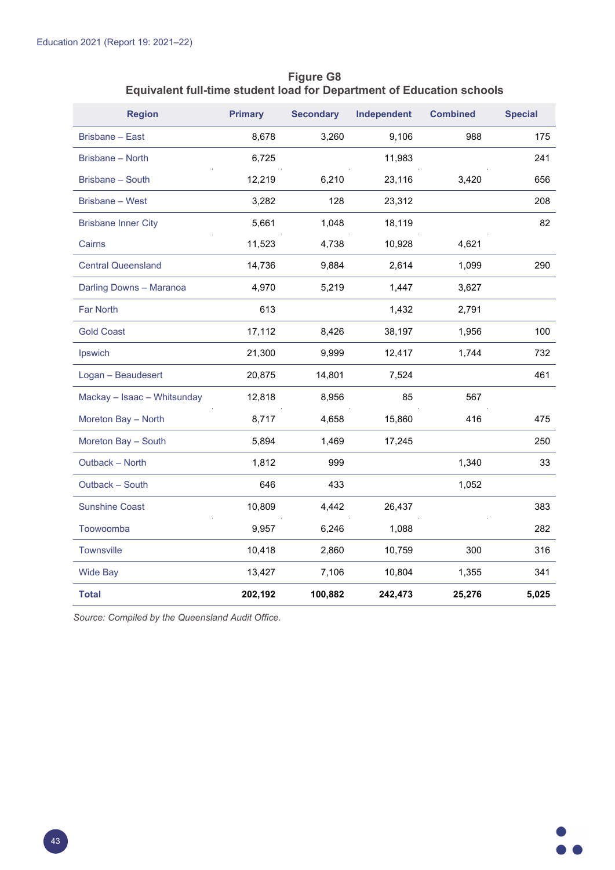| <b>Region</b>               | <b>Primary</b> | <b>Secondary</b> | Independent | <b>Combined</b> | <b>Special</b> |
|-----------------------------|----------------|------------------|-------------|-----------------|----------------|
| <b>Brisbane - East</b>      | 8,678          | 3,260            | 9,106       | 988             | 175            |
| <b>Brisbane - North</b>     | 6,725          |                  | 11,983      |                 | 241            |
| Brisbane - South            | 12,219         | 6,210            | 23,116      | 3,420           | 656            |
| Brisbane - West             | 3,282          | 128              | 23,312      |                 | 208            |
| <b>Brisbane Inner City</b>  | 5,661          | 1,048            | 18,119      |                 | 82             |
| Cairns                      | 11,523         | 4,738            | 10,928      | 4,621           |                |
| <b>Central Queensland</b>   | 14,736         | 9,884            | 2,614       | 1,099           | 290            |
| Darling Downs - Maranoa     | 4,970          | 5,219            | 1,447       | 3,627           |                |
| <b>Far North</b>            | 613            |                  | 1,432       | 2,791           |                |
| <b>Gold Coast</b>           | 17,112         | 8,426            | 38,197      | 1,956           | 100            |
| Ipswich                     | 21,300         | 9,999            | 12,417      | 1,744           | 732            |
| Logan - Beaudesert          | 20,875         | 14,801           | 7,524       |                 | 461            |
| Mackay - Isaac - Whitsunday | 12,818         | 8,956            | 85          | 567             |                |
| Moreton Bay - North         | 8,717          | 4,658            | 15,860      | 416             | 475            |
| Moreton Bay - South         | 5,894          | 1,469            | 17,245      |                 | 250            |
| Outback - North             | 1,812          | 999              |             | 1,340           | 33             |
| Outback - South             | 646            | 433              |             | 1,052           |                |
| <b>Sunshine Coast</b>       | 10,809         | 4,442            | 26,437      |                 | 383            |
| Toowoomba                   | 9,957          | 6,246            | 1,088       |                 | 282            |
| Townsville                  | 10,418         | 2,860            | 10,759      | 300             | 316            |
| <b>Wide Bay</b>             | 13,427         | 7,106            | 10,804      | 1,355           | 341            |
| Total                       | 202,192        | 100,882          | 242,473     | 25,276          | 5,025          |

**Figure G8 Equivalent full-time student load for Department of Education schools**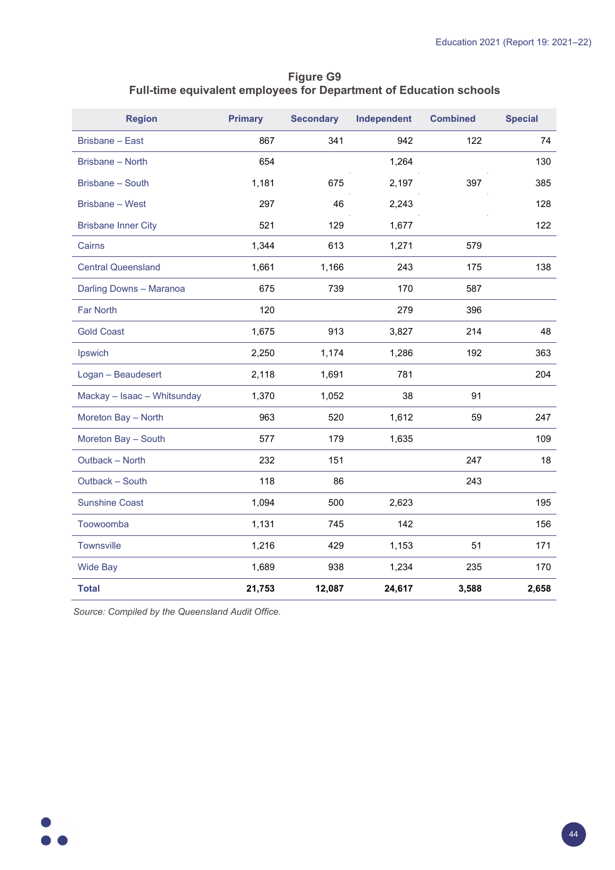## **Figure G9 Full-time equivalent employees for Department of Education schools**

| <b>Region</b>               | <b>Primary</b> | <b>Secondary</b> | Independent | <b>Combined</b> | <b>Special</b> |
|-----------------------------|----------------|------------------|-------------|-----------------|----------------|
| Brisbane - East             | 867            | 341              | 942         | 122             | 74             |
| Brisbane - North            | 654            |                  | 1,264       |                 | 130            |
| <b>Brisbane - South</b>     | 1,181          | 675              | 2,197       | 397             | 385            |
| <b>Brisbane - West</b>      | 297            | 46               | 2,243       |                 | 128            |
| <b>Brisbane Inner City</b>  | 521            | 129              | 1,677       |                 | 122            |
| Cairns                      | 1,344          | 613              | 1,271       | 579             |                |
| <b>Central Queensland</b>   | 1,661          | 1,166            | 243         | 175             | 138            |
| Darling Downs - Maranoa     | 675            | 739              | 170         | 587             |                |
| <b>Far North</b>            | 120            |                  | 279         | 396             |                |
| <b>Gold Coast</b>           | 1,675          | 913              | 3,827       | 214             | 48             |
| Ipswich                     | 2,250          | 1,174            | 1,286       | 192             | 363            |
| Logan - Beaudesert          | 2,118          | 1,691            | 781         |                 | 204            |
| Mackay - Isaac - Whitsunday | 1,370          | 1,052            | 38          | 91              |                |
| Moreton Bay - North         | 963            | 520              | 1,612       | 59              | 247            |
| Moreton Bay - South         | 577            | 179              | 1,635       |                 | 109            |
| Outback - North             | 232            | 151              |             | 247             | 18             |
| Outback - South             | 118            | 86               |             | 243             |                |
| <b>Sunshine Coast</b>       | 1,094          | 500              | 2,623       |                 | 195            |
| Toowoomba                   | 1,131          | 745              | 142         |                 | 156            |
| <b>Townsville</b>           | 1,216          | 429              | 1,153       | 51              | 171            |
| <b>Wide Bay</b>             | 1,689          | 938              | 1,234       | 235             | 170            |
| <b>Total</b>                | 21,753         | 12,087           | 24,617      | 3,588           | 2,658          |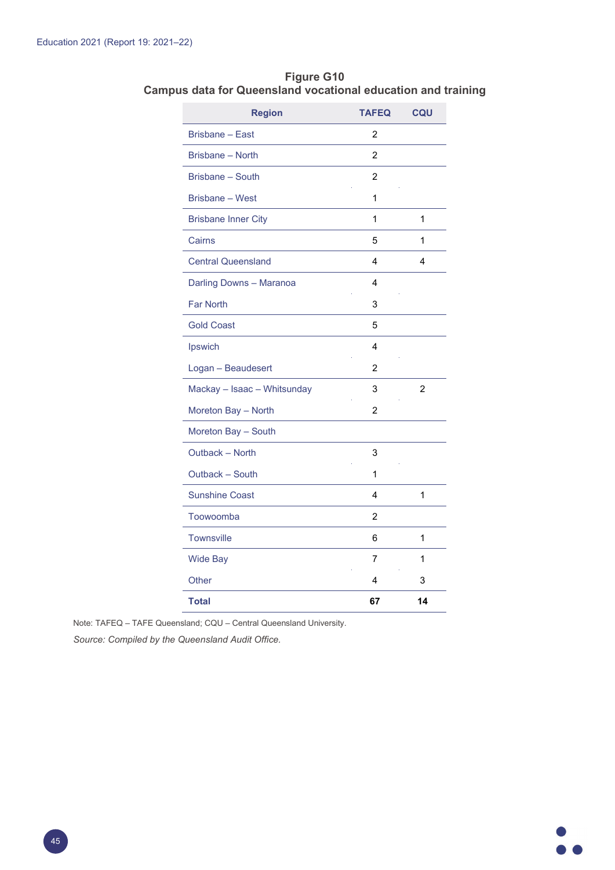| <b>Region</b>               | <b>TAFEQ</b>   | <b>CQU</b>     |
|-----------------------------|----------------|----------------|
| <b>Brisbane - East</b>      | 2              |                |
| Brisbane - North            | $\overline{2}$ |                |
| Brisbane - South            | $\overline{2}$ |                |
| Brisbane - West             | 1              |                |
| <b>Brisbane Inner City</b>  | 1              | 1              |
| Cairns                      | 5              | 1              |
| <b>Central Queensland</b>   | 4              | 4              |
| Darling Downs - Maranoa     | 4              |                |
| <b>Far North</b>            | 3              |                |
| <b>Gold Coast</b>           | 5              |                |
| Ipswich                     | 4              |                |
| Logan - Beaudesert          | 2              |                |
| Mackay - Isaac - Whitsunday | 3              | $\overline{2}$ |
| Moreton Bay - North         | 2              |                |
| Moreton Bay - South         |                |                |
| Outback - North             | 3              |                |
| Outback - South             | 1              |                |
| <b>Sunshine Coast</b>       | 4              | 1              |
| Toowoomba                   | 2              |                |
| <b>Townsville</b>           | 6              | 1              |
| <b>Wide Bay</b>             | 7              | 1              |
| Other                       | 4              | 3              |
| <b>Total</b>                | 67             | 14             |

**Figure G10 Campus data for Queensland vocational education and training**

Note: TAFEQ – TAFE Queensland; CQU – Central Queensland University.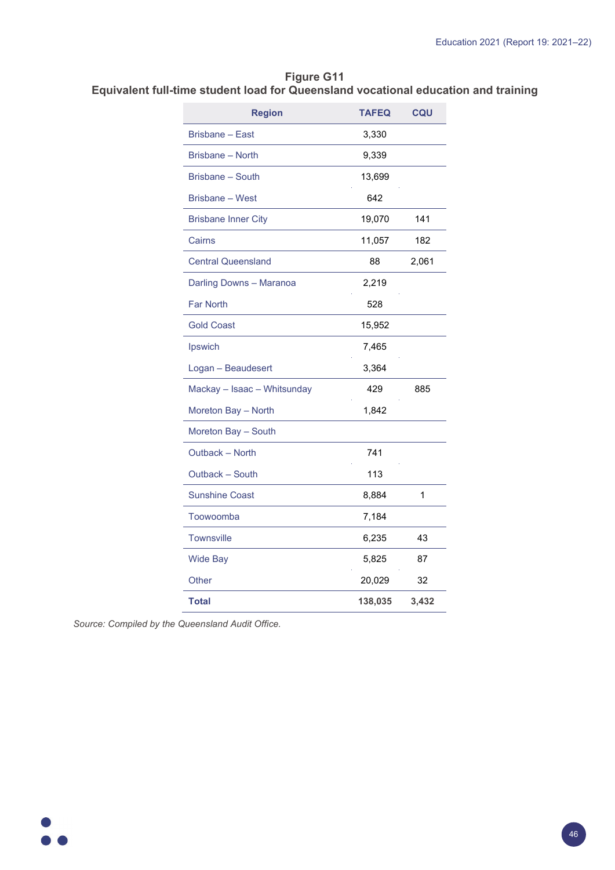#### **Figure G11 Equivalent full-time student load for Queensland vocational education and training**

| <b>Region</b>               | <b>TAFEQ</b> | CQU   |
|-----------------------------|--------------|-------|
| Brisbane - East             | 3,330        |       |
| Brisbane - North            | 9,339        |       |
| <b>Brisbane - South</b>     | 13,699       |       |
| Brisbane - West             | 642          |       |
| <b>Brisbane Inner City</b>  | 19,070       | 141   |
| Cairns                      | 11,057       | 182   |
| <b>Central Queensland</b>   | 88           | 2,061 |
| Darling Downs - Maranoa     | 2,219        |       |
| <b>Far North</b>            | 528          |       |
| <b>Gold Coast</b>           | 15,952       |       |
| Ipswich                     | 7,465        |       |
| Logan - Beaudesert          | 3,364        |       |
| Mackay - Isaac - Whitsunday | 429          | 885   |
| Moreton Bay - North         | 1,842        |       |
| Moreton Bay - South         |              |       |
| Outback - North             | 741          |       |
| Outback - South             | 113          |       |
| <b>Sunshine Coast</b>       | 8,884        | 1     |
| Toowoomba                   | 7,184        |       |
| <b>Townsville</b>           | 6,235        | 43    |
| <b>Wide Bay</b>             | 5,825        | 87    |
| Other                       | 20,029       | 32    |
| <b>Total</b>                | 138,035      | 3,432 |